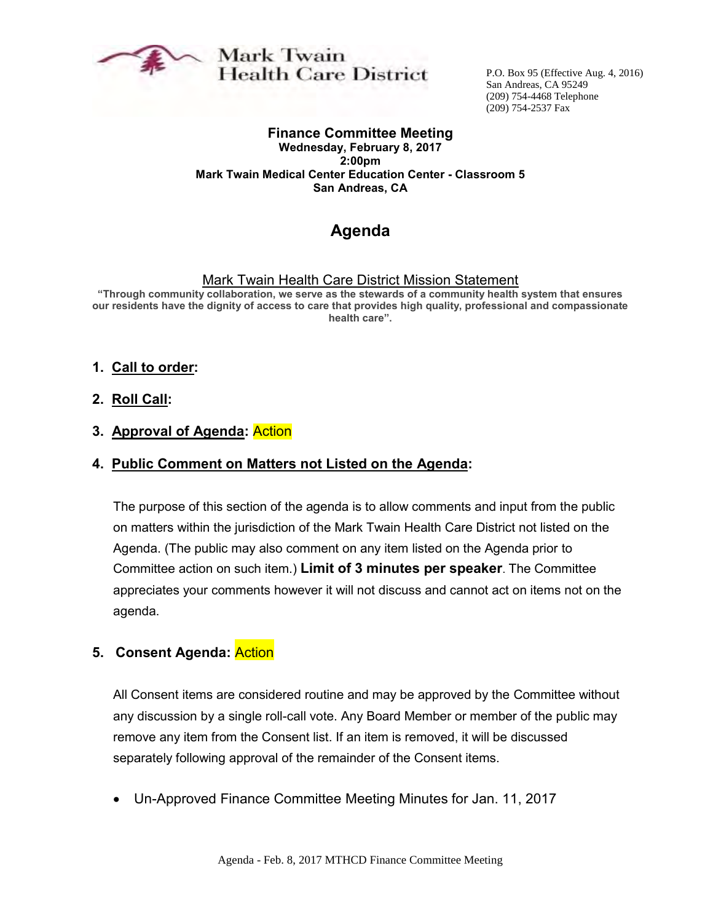

## Mark Twain **Health Care District**

P.O. Box 95 (Effective Aug. 4, 2016) San Andreas, CA 95249 (209) 754-4468 Telephone (209) 754-2537 Fax

#### **Finance Committee Meeting**

**Wednesday, February 8, 2017 2:00pm Mark Twain Medical Center Education Center - Classroom 5 San Andreas, CA**

## **Agenda**

#### Mark Twain Health Care District Mission Statement

**"Through community collaboration, we serve as the stewards of a community health system that ensures our residents have the dignity of access to care that provides high quality, professional and compassionate health care".** 

#### **1. Call to order:**

**2. Roll Call:**

#### **3. Approval of Agenda:** Action

#### **4. Public Comment on Matters not Listed on the Agenda:**

The purpose of this section of the agenda is to allow comments and input from the public on matters within the jurisdiction of the Mark Twain Health Care District not listed on the Agenda. (The public may also comment on any item listed on the Agenda prior to Committee action on such item.) **Limit of 3 minutes per speaker**. The Committee appreciates your comments however it will not discuss and cannot act on items not on the agenda.

#### **5. Consent Agenda:** Action

All Consent items are considered routine and may be approved by the Committee without any discussion by a single roll-call vote. Any Board Member or member of the public may remove any item from the Consent list. If an item is removed, it will be discussed separately following approval of the remainder of the Consent items.

Un-Approved Finance Committee Meeting Minutes for Jan. 11, 2017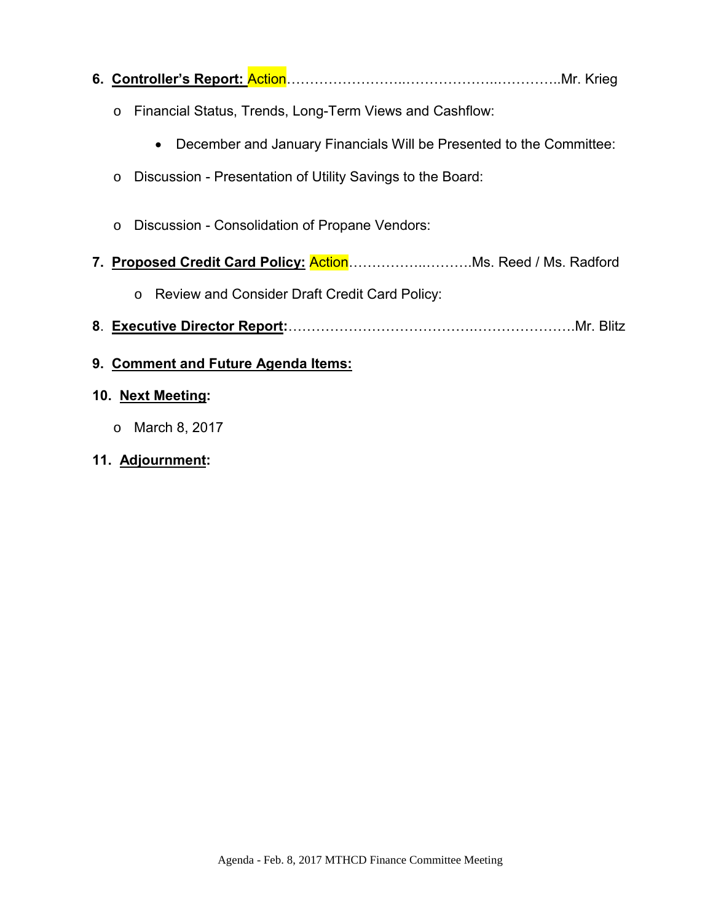| $\circ$ | Financial Status, Trends, Long-Term Views and Cashflow:                          |
|---------|----------------------------------------------------------------------------------|
|         | December and January Financials Will be Presented to the Committee:<br>$\bullet$ |
| $\circ$ | Discussion - Presentation of Utility Savings to the Board:                       |
| $\circ$ | Discussion - Consolidation of Propane Vendors:                                   |
|         |                                                                                  |

- o Review and Consider Draft Credit Card Policy:
- **8**. **Executive Director Report:**………………………………….………………….Mr. Blitz
- **9. Comment and Future Agenda Items:**

#### **10. Next Meeting:**

- o March 8, 2017
- **11. Adjournment:**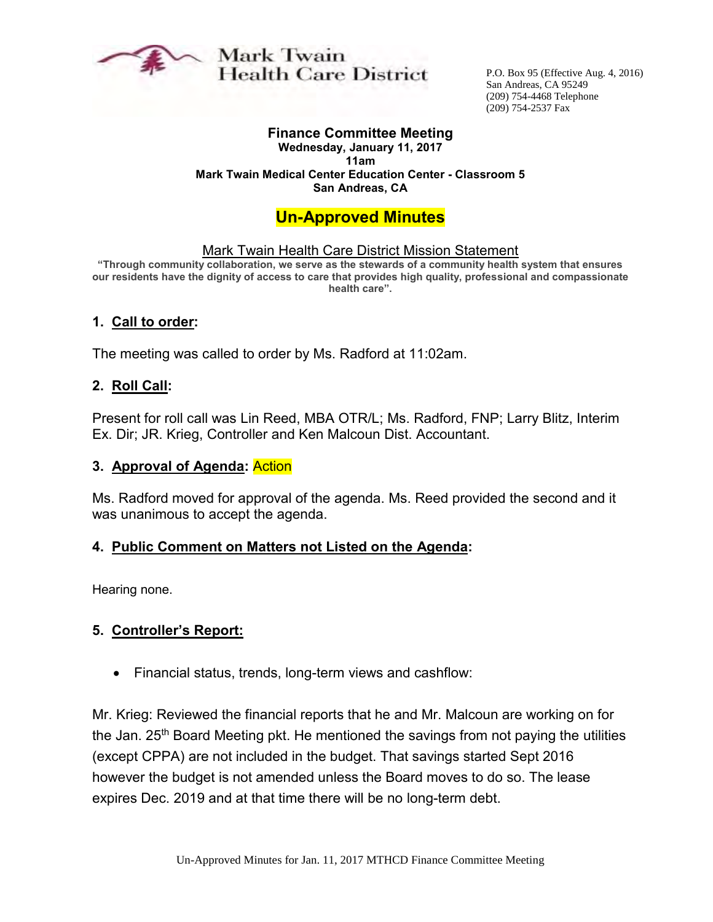

Mark Twain **Health Care District** 

P.O. Box 95 (Effective Aug. 4, 2016) San Andreas, CA 95249 (209) 754-4468 Telephone (209) 754-2537 Fax

## **Finance Committee Meeting**

**Wednesday, January 11, 2017 11am Mark Twain Medical Center Education Center - Classroom 5 San Andreas, CA**

## **Un-Approved Minutes**

#### Mark Twain Health Care District Mission Statement

**"Through community collaboration, we serve as the stewards of a community health system that ensures our residents have the dignity of access to care that provides high quality, professional and compassionate health care".** 

#### **1. Call to order:**

The meeting was called to order by Ms. Radford at 11:02am.

#### **2. Roll Call:**

Present for roll call was Lin Reed, MBA OTR/L; Ms. Radford, FNP; Larry Blitz, Interim Ex. Dir; JR. Krieg, Controller and Ken Malcoun Dist. Accountant.

#### **3. Approval of Agenda:** Action

Ms. Radford moved for approval of the agenda. Ms. Reed provided the second and it was unanimous to accept the agenda.

#### **4. Public Comment on Matters not Listed on the Agenda:**

Hearing none.

#### **5. Controller's Report:**

Financial status, trends, long-term views and cashflow:

Mr. Krieg: Reviewed the financial reports that he and Mr. Malcoun are working on for the Jan. 25<sup>th</sup> Board Meeting pkt. He mentioned the savings from not paying the utilities (except CPPA) are not included in the budget. That savings started Sept 2016 however the budget is not amended unless the Board moves to do so. The lease expires Dec. 2019 and at that time there will be no long-term debt.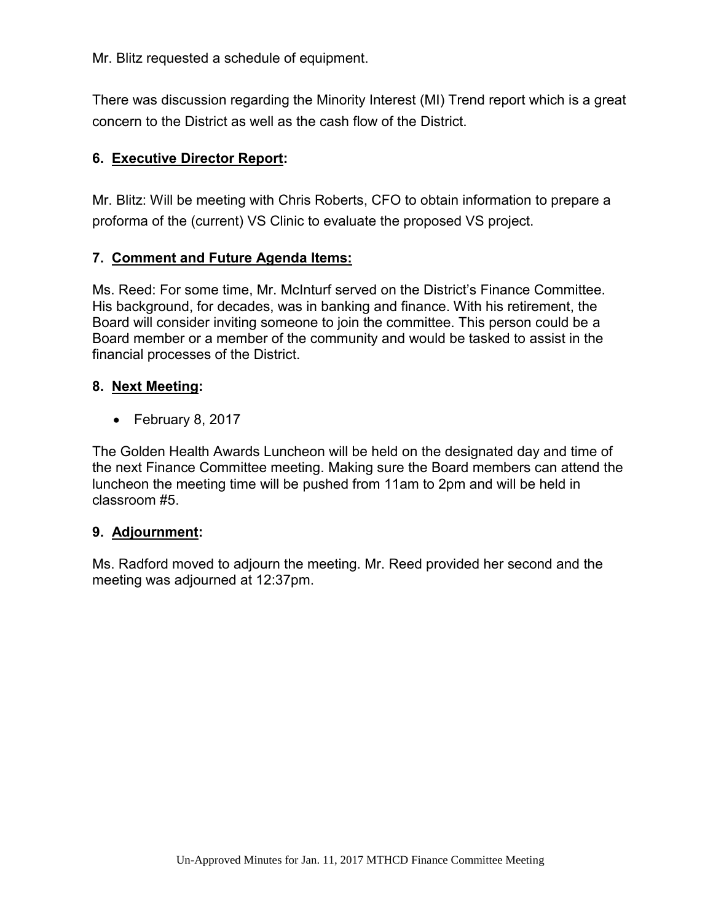Mr. Blitz requested a schedule of equipment.

There was discussion regarding the Minority Interest (MI) Trend report which is a great concern to the District as well as the cash flow of the District.

#### **6. Executive Director Report:**

Mr. Blitz: Will be meeting with Chris Roberts, CFO to obtain information to prepare a proforma of the (current) VS Clinic to evaluate the proposed VS project.

#### **7. Comment and Future Agenda Items:**

Ms. Reed: For some time, Mr. McInturf served on the District's Finance Committee. His background, for decades, was in banking and finance. With his retirement, the Board will consider inviting someone to join the committee. This person could be a Board member or a member of the community and would be tasked to assist in the financial processes of the District.

#### **8. Next Meeting:**

 $\bullet$  February 8, 2017

The Golden Health Awards Luncheon will be held on the designated day and time of the next Finance Committee meeting. Making sure the Board members can attend the luncheon the meeting time will be pushed from 11am to 2pm and will be held in classroom #5.

#### **9. Adjournment:**

Ms. Radford moved to adjourn the meeting. Mr. Reed provided her second and the meeting was adjourned at 12:37pm.